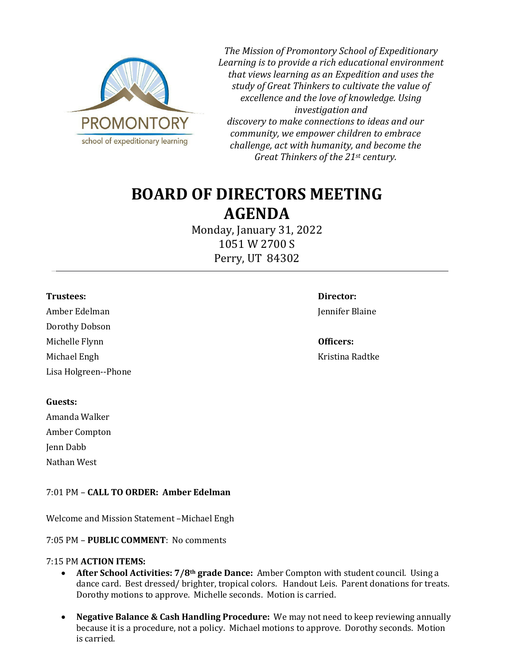

*The Mission of Promontory School of Expeditionary Learning is to provide a rich educational environment that views learning as an Expedition and uses the study of Great Thinkers to cultivate the value of excellence and the love of knowledge. Using investigation and discovery to make connections to ideas and our community, we empower children to embrace challenge, act with humanity, and become the Great Thinkers of the 21st century.*

## **BOARD OF DIRECTORS MEETING AGENDA**

Monday, January 31, 2022 1051 W 2700 S Perry, UT 84302

### **Trustees: Director:**

Amber Edelman Jennifer Blaine (1999) and the settlement of the settlement of the settlement of the settlement of the settlement of the settlement of the settlement of the settlement of the settlement of the settlement of t Dorothy Dobson Michelle Flynn **Officers:** Michael Engh Kristina Radtke Kristina Radtke Kristina Radtke Kristina Radtke Kristina Radtke Kristina Radtke K Lisa Holgreen--Phone

### **Guests:**

Amanda Walker Amber Compton Jenn Dabb Nathan West

### 7:01 PM – **CALL TO ORDER: Amber Edelman**

Welcome and Mission Statement –Michael Engh

7:05 PM – **PUBLIC COMMENT**: No comments

# 7:15 PM **ACTION ITEMS:**

- **After School Activities: 7/8th grade Dance:** Amber Compton with student council. Using a dance card. Best dressed/ brighter, tropical colors. Handout Leis. Parent donations for treats. Dorothy motions to approve. Michelle seconds. Motion is carried.
- **Negative Balance & Cash Handling Procedure:** We may not need to keep reviewing annually because it is a procedure, not a policy. Michael motions to approve. Dorothy seconds. Motion is carried.